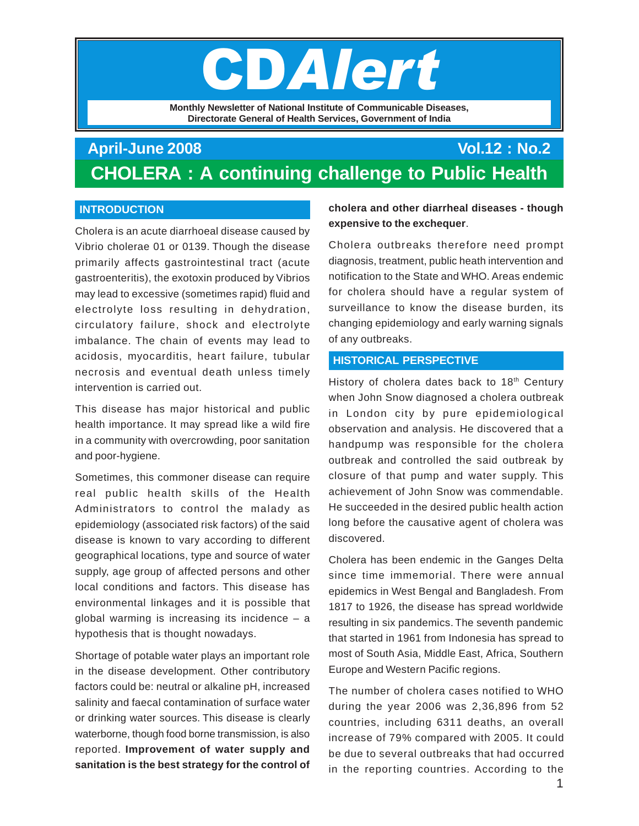# CDAlert

**Monthly Newsletter of National Institute of Communicable Diseases, Directorate General of Health Services, Government of India**

# **April-June 2008 Vol.12 : No.2 CHOLERA : A continuing challenge to Public Health**

## **INTRODUCTION**

Cholera is an acute diarrhoeal disease caused by Vibrio cholerae 01 or 0139. Though the disease primarily affects gastrointestinal tract (acute gastroenteritis), the exotoxin produced by Vibrios may lead to excessive (sometimes rapid) fluid and electrolyte loss resulting in dehydration, circulatory failure, shock and electrolyte imbalance. The chain of events may lead to acidosis, myocarditis, heart failure, tubular necrosis and eventual death unless timely intervention is carried out.

This disease has major historical and public health importance. It may spread like a wild fire in a community with overcrowding, poor sanitation and poor-hygiene.

Sometimes, this commoner disease can require real public health skills of the Health Administrators to control the malady as epidemiology (associated risk factors) of the said disease is known to vary according to different geographical locations, type and source of water supply, age group of affected persons and other local conditions and factors. This disease has environmental linkages and it is possible that global warming is increasing its incidence  $-$  a hypothesis that is thought nowadays.

Shortage of potable water plays an important role in the disease development. Other contributory factors could be: neutral or alkaline pH, increased salinity and faecal contamination of surface water or drinking water sources. This disease is clearly waterborne, though food borne transmission, is also reported. **Improvement of water supply and sanitation is the best strategy for the control of**

**cholera and other diarrheal diseases - though expensive to the exchequer**.

Cholera outbreaks therefore need prompt diagnosis, treatment, public heath intervention and notification to the State and WHO. Areas endemic for cholera should have a regular system of surveillance to know the disease burden, its changing epidemiology and early warning signals of any outbreaks.

#### **HISTORICAL PERSPECTIVE**

History of cholera dates back to 18<sup>th</sup> Century when John Snow diagnosed a cholera outbreak in London city by pure epidemiological observation and analysis. He discovered that a handpump was responsible for the cholera outbreak and controlled the said outbreak by closure of that pump and water supply. This achievement of John Snow was commendable. He succeeded in the desired public health action long before the causative agent of cholera was discovered.

Cholera has been endemic in the Ganges Delta since time immemorial. There were annual epidemics in West Bengal and Bangladesh. From 1817 to 1926, the disease has spread worldwide resulting in six pandemics. The seventh pandemic that started in 1961 from Indonesia has spread to most of South Asia, Middle East, Africa, Southern Europe and Western Pacific regions.

The number of cholera cases notified to WHO during the year 2006 was 2,36,896 from 52 countries, including 6311 deaths, an overall increase of 79% compared with 2005. It could be due to several outbreaks that had occurred in the reporting countries. According to the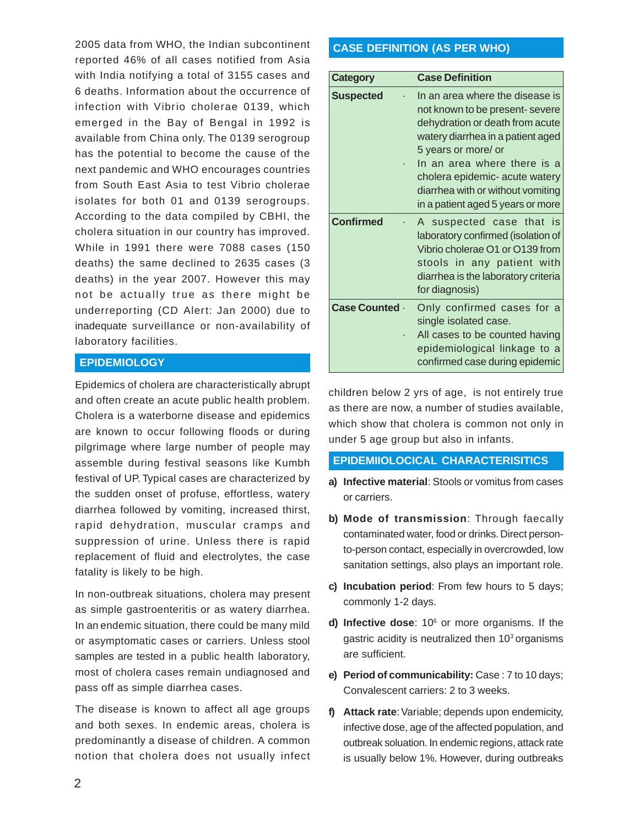2005 data from WHO, the Indian subcontinent reported 46% of all cases notified from Asia with India notifying a total of 3155 cases and 6 deaths. Information about the occurrence of infection with Vibrio cholerae 0139, which emerged in the Bay of Bengal in 1992 is available from China only. The 0139 serogroup has the potential to become the cause of the next pandemic and WHO encourages countries from South East Asia to test Vibrio cholerae isolates for both 01 and 0139 serogroups. According to the data compiled by CBHI, the cholera situation in our country has improved. While in 1991 there were 7088 cases (150 deaths) the same declined to 2635 cases (3 deaths) in the year 2007. However this may not be actually true as there might be underreporting (CD Alert: Jan 2000) due to inadequate surveillance or non-availability of laboratory facilities.

#### **EPIDEMIOLOGY**

Epidemics of cholera are characteristically abrupt and often create an acute public health problem. Cholera is a waterborne disease and epidemics are known to occur following floods or during pilgrimage where large number of people may assemble during festival seasons like Kumbh festival of UP. Typical cases are characterized by the sudden onset of profuse, effortless, watery diarrhea followed by vomiting, increased thirst, rapid dehydration, muscular cramps and suppression of urine. Unless there is rapid replacement of fluid and electrolytes, the case fatality is likely to be high.

In non-outbreak situations, cholera may present as simple gastroenteritis or as watery diarrhea. In an endemic situation, there could be many mild or asymptomatic cases or carriers. Unless stool samples are tested in a public health laboratory, most of cholera cases remain undiagnosed and pass off as simple diarrhea cases.

The disease is known to affect all age groups and both sexes. In endemic areas, cholera is predominantly a disease of children. A common notion that cholera does not usually infect

#### **CASE DEFINITION (AS PER WHO)**

| <b>Category</b>       | <b>Case Definition</b>                                                                                                                                                                                                                                                                                       |
|-----------------------|--------------------------------------------------------------------------------------------------------------------------------------------------------------------------------------------------------------------------------------------------------------------------------------------------------------|
| <b>Suspected</b>      | In an area where the disease is<br>not known to be present- severe<br>dehydration or death from acute<br>watery diarrhea in a patient aged<br>5 years or more/ or<br>In an area where there is a<br>cholera epidemic- acute watery<br>diarrhea with or without vomiting<br>in a patient aged 5 years or more |
| <b>Confirmed</b>      | A suspected case that is<br>laboratory confirmed (isolation of<br>Vibrio cholerae O1 or O139 from<br>stools in any patient with<br>diarrhea is the laboratory criteria<br>for diagnosis)                                                                                                                     |
| <b>Case Counted .</b> | Only confirmed cases for a<br>single isolated case.<br>All cases to be counted having<br>epidemiological linkage to a<br>confirmed case during epidemic                                                                                                                                                      |

children below 2 yrs of age, is not entirely true as there are now, a number of studies available, which show that cholera is common not only in under 5 age group but also in infants.

#### **EPIDEMIIOLOCICAL CHARACTERISITICS**

- **a) Infective material**: Stools or vomitus from cases or carriers.
- **b) Mode of transmission**: Through faecally contaminated water, food or drinks. Direct personto-person contact, especially in overcrowded, low sanitation settings, also plays an important role.
- **c) Incubation period**: From few hours to 5 days; commonly 1-2 days.
- d) Infective dose: 10<sup>6</sup> or more organisms. If the gastric acidity is neutralized then  $10<sup>3</sup>$  organisms are sufficient.
- **e) Period of communicability:** Case : 7 to 10 days; Convalescent carriers: 2 to 3 weeks.
- **f) Attack rate**: Variable; depends upon endemicity, infective dose, age of the affected population, and outbreak soluation. In endemic regions, attack rate is usually below 1%. However, during outbreaks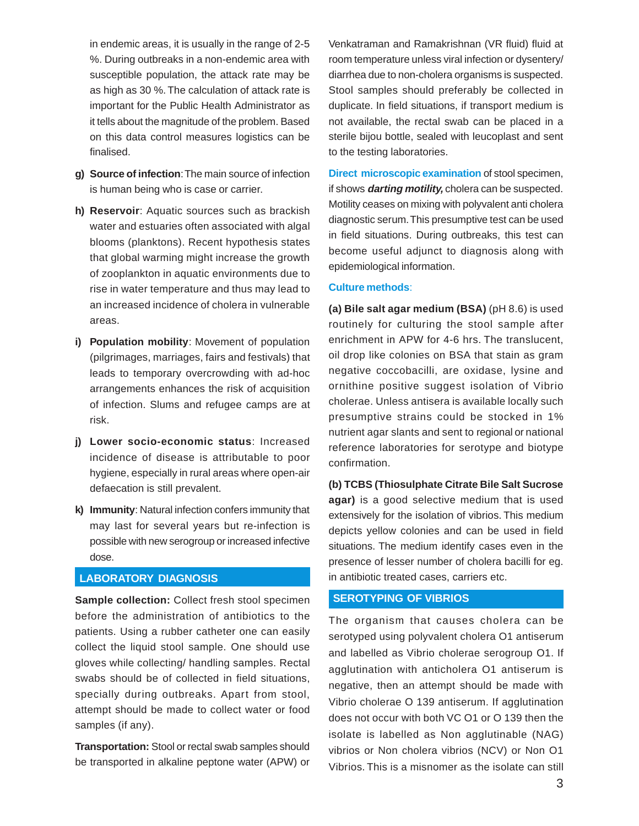in endemic areas, it is usually in the range of 2-5 %. During outbreaks in a non-endemic area with susceptible population, the attack rate may be as high as 30 %. The calculation of attack rate is important for the Public Health Administrator as it tells about the magnitude of the problem. Based on this data control measures logistics can be finalised.

- **g) Source of infection**: The main source of infection is human being who is case or carrier.
- **h) Reservoir**: Aquatic sources such as brackish water and estuaries often associated with algal blooms (planktons). Recent hypothesis states that global warming might increase the growth of zooplankton in aquatic environments due to rise in water temperature and thus may lead to an increased incidence of cholera in vulnerable areas.
- **i) Population mobility**: Movement of population (pilgrimages, marriages, fairs and festivals) that leads to temporary overcrowding with ad-hoc arrangements enhances the risk of acquisition of infection. Slums and refugee camps are at risk.
- **j) Lower socio-economic status**: Increased incidence of disease is attributable to poor hygiene, especially in rural areas where open-air defaecation is still prevalent.
- **k) Immunity**: Natural infection confers immunity that may last for several years but re-infection is possible with new serogroup or increased infective dose.

#### **LABORATORY DIAGNOSIS**

**Sample collection:** Collect fresh stool specimen before the administration of antibiotics to the patients. Using a rubber catheter one can easily collect the liquid stool sample. One should use gloves while collecting/ handling samples. Rectal swabs should be of collected in field situations, specially during outbreaks. Apart from stool, attempt should be made to collect water or food samples (if any).

**Transportation:** Stool or rectal swab samples should be transported in alkaline peptone water (APW) or

Venkatraman and Ramakrishnan (VR fluid) fluid at room temperature unless viral infection or dysentery/ diarrhea due to non-cholera organisms is suspected. Stool samples should preferably be collected in duplicate. In field situations, if transport medium is not available, the rectal swab can be placed in a sterile bijou bottle, sealed with leucoplast and sent to the testing laboratories.

**Direct microscopic examination** of stool specimen, if shows **darting motility,** cholera can be suspected. Motility ceases on mixing with polyvalent anti cholera diagnostic serum. This presumptive test can be used in field situations. During outbreaks, this test can become useful adjunct to diagnosis along with epidemiological information.

#### **Culture methods**:

**(a) Bile salt agar medium (BSA)** (pH 8.6) is used routinely for culturing the stool sample after enrichment in APW for 4-6 hrs. The translucent, oil drop like colonies on BSA that stain as gram negative coccobacilli, are oxidase, lysine and ornithine positive suggest isolation of Vibrio cholerae. Unless antisera is available locally such presumptive strains could be stocked in 1% nutrient agar slants and sent to regional or national reference laboratories for serotype and biotype confirmation.

**(b) TCBS (Thiosulphate Citrate Bile Salt Sucrose agar)** is a good selective medium that is used extensively for the isolation of vibrios. This medium depicts yellow colonies and can be used in field situations. The medium identify cases even in the presence of lesser number of cholera bacilli for eg. in antibiotic treated cases, carriers etc.

#### **SEROTYPING OF VIBRIOS**

The organism that causes cholera can be serotyped using polyvalent cholera O1 antiserum and labelled as Vibrio cholerae serogroup O1. If agglutination with anticholera O1 antiserum is negative, then an attempt should be made with Vibrio cholerae O 139 antiserum. If agglutination does not occur with both VC O1 or O 139 then the isolate is labelled as Non agglutinable (NAG) vibrios or Non cholera vibrios (NCV) or Non O1 Vibrios. This is a misnomer as the isolate can still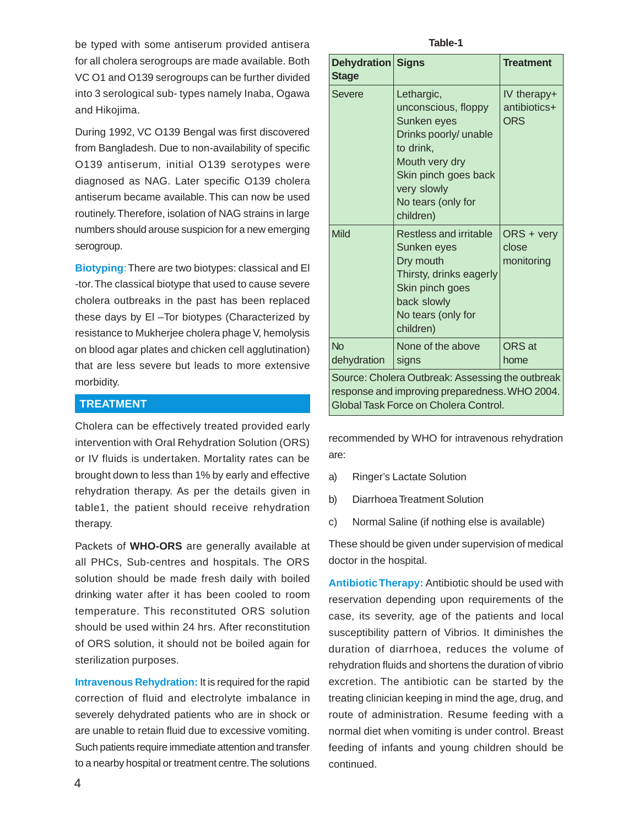be typed with some antiserum provided antisera for all cholera serogroups are made available. Both VC O1 and O139 serogroups can be further divided into 3 serological sub- types namely Inaba, Ogawa and Hikojima.

During 1992, VC O139 Bengal was first discovered from Bangladesh. Due to non-availability of specific O139 antiserum, initial O139 serotypes were diagnosed as NAG. Later specific O139 cholera antiserum became available. This can now be used routinely. Therefore, isolation of NAG strains in large numbers should arouse suspicion for a new emerging serogroup.

**Biotyping**: There are two biotypes: classical and El -tor. The classical biotype that used to cause severe cholera outbreaks in the past has been replaced these days by El –Tor biotypes (Characterized by resistance to Mukherjee cholera phage V, hemolysis on blood agar plates and chicken cell agglutination) that are less severe but leads to more extensive morbidity.

## **TREATMENT**

Cholera can be effectively treated provided early intervention with Oral Rehydration Solution (ORS) or IV fluids is undertaken. Mortality rates can be brought down to less than 1% by early and effective rehydration therapy. As per the details given in table1, the patient should receive rehydration therapy.

Packets of **WHO-ORS** are generally available at all PHCs, Sub-centres and hospitals. The ORS solution should be made fresh daily with boiled drinking water after it has been cooled to room temperature. This reconstituted ORS solution should be used within 24 hrs. After reconstitution of ORS solution, it should not be boiled again for sterilization purposes.

**Intravenous Rehydration:** It is required for the rapid correction of fluid and electrolyte imbalance in severely dehydrated patients who are in shock or are unable to retain fluid due to excessive vomiting. Such patients require immediate attention and transfer to a nearby hospital or treatment centre. The solutions

**Table-1**

| <b>Dehydration Signs</b><br><b>Stage</b>                                                                                                    |                                                                                                                                                                                    | <b>Treatment</b>                          |  |
|---------------------------------------------------------------------------------------------------------------------------------------------|------------------------------------------------------------------------------------------------------------------------------------------------------------------------------------|-------------------------------------------|--|
| <b>Severe</b>                                                                                                                               | Lethargic,<br>unconscious, floppy<br>Sunken eyes<br>Drinks poorly/ unable<br>to drink,<br>Mouth very dry<br>Skin pinch goes back<br>very slowly<br>No tears (only for<br>children) | IV therapy+<br>antibiotics+<br><b>ORS</b> |  |
| Mild                                                                                                                                        | Restless and irritable<br>Sunken eyes<br>Dry mouth<br>Thirsty, drinks eagerly<br>Skin pinch goes<br>back slowly<br>No tears (only for<br>children)                                 | ORS + very<br>close<br>monitoring         |  |
| No<br>dehydration                                                                                                                           | None of the above<br>signs                                                                                                                                                         | ORS at<br>home                            |  |
| Source: Cholera Outbreak: Assessing the outbreak<br>response and improving preparedness. WHO 2004.<br>Global Task Force on Cholera Control. |                                                                                                                                                                                    |                                           |  |

recommended by WHO for intravenous rehydration are:

- a) Ringer's Lactate Solution
- b) Diarrhoea Treatment Solution
- c) Normal Saline (if nothing else is available)

These should be given under supervision of medical doctor in the hospital.

**Antibiotic Therapy:** Antibiotic should be used with reservation depending upon requirements of the case, its severity, age of the patients and local susceptibility pattern of Vibrios. It diminishes the duration of diarrhoea, reduces the volume of rehydration fluids and shortens the duration of vibrio excretion. The antibiotic can be started by the treating clinician keeping in mind the age, drug, and route of administration. Resume feeding with a normal diet when vomiting is under control. Breast feeding of infants and young children should be continued.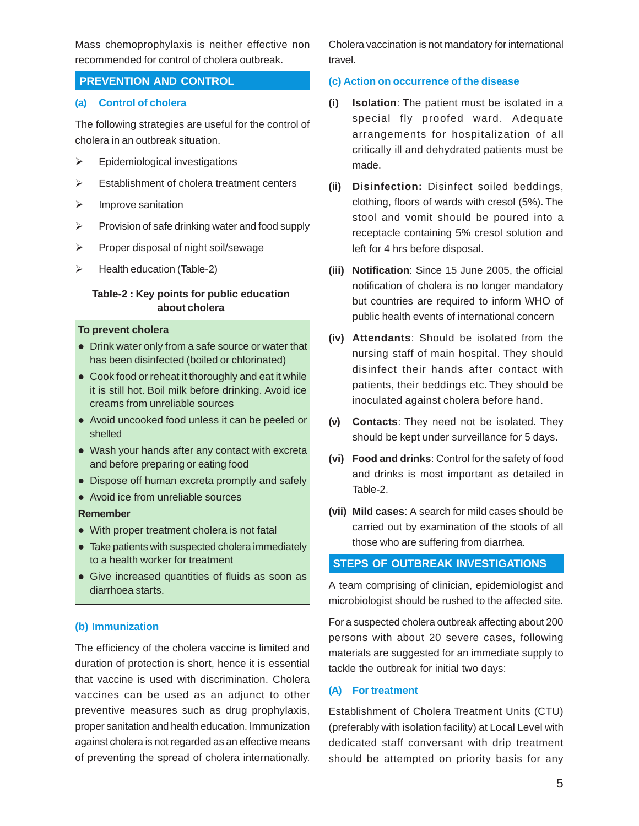Mass chemoprophylaxis is neither effective non recommended for control of cholera outbreak.

#### **PREVENTION AND CONTROL**

#### **(a) Control of cholera**

The following strategies are useful for the control of cholera in an outbreak situation.

- $\triangleright$  Epidemiological investigations
- $\triangleright$  Establishment of cholera treatment centers
- $\triangleright$  Improve sanitation
- $\triangleright$  Provision of safe drinking water and food supply
- $\triangleright$  Proper disposal of night soil/sewage
- $\triangleright$  Health education (Table-2)

#### **Table-2 : Key points for public education about cholera**

#### **To prevent cholera**

- Drink water only from a safe source or water that has been disinfected (boiled or chlorinated)
- Cook food or reheat it thoroughly and eat it while it is still hot. Boil milk before drinking. Avoid ice creams from unreliable sources
- Avoid uncooked food unless it can be peeled or shelled
- Wash your hands after any contact with excreta and before preparing or eating food
- Dispose off human excreta promptly and safely
- Avoid ice from unreliable sources

#### **Remember**

- With proper treatment cholera is not fatal
- Take patients with suspected cholera immediately to a health worker for treatment
- Give increased quantities of fluids as soon as diarrhoea starts.

#### **(b) Immunization**

The efficiency of the cholera vaccine is limited and duration of protection is short, hence it is essential that vaccine is used with discrimination. Cholera vaccines can be used as an adjunct to other preventive measures such as drug prophylaxis, proper sanitation and health education. Immunization against cholera is not regarded as an effective means of preventing the spread of cholera internationally. Cholera vaccination is not mandatory for international travel.

#### **(c) Action on occurrence of the disease**

- **(i) Isolation**: The patient must be isolated in a special fly proofed ward. Adequate arrangements for hospitalization of all critically ill and dehydrated patients must be made.
- **(ii) Disinfection:** Disinfect soiled beddings, clothing, floors of wards with cresol (5%). The stool and vomit should be poured into a receptacle containing 5% cresol solution and left for 4 hrs before disposal.
- **(iii) Notification**: Since 15 June 2005, the official notification of cholera is no longer mandatory but countries are required to inform WHO of public health events of international concern
- **(iv) Attendants**: Should be isolated from the nursing staff of main hospital. They should disinfect their hands after contact with patients, their beddings etc. They should be inoculated against cholera before hand.
- **(v) Contacts**: They need not be isolated. They should be kept under surveillance for 5 days.
- **(vi) Food and drinks**: Control for the safety of food and drinks is most important as detailed in Table-2.
- **(vii) Mild cases**: A search for mild cases should be carried out by examination of the stools of all those who are suffering from diarrhea.

## **STEPS OF OUTBREAK INVESTIGATIONS**

A team comprising of clinician, epidemiologist and microbiologist should be rushed to the affected site.

For a suspected cholera outbreak affecting about 200 persons with about 20 severe cases, following materials are suggested for an immediate supply to tackle the outbreak for initial two days:

#### **(A) For treatment**

Establishment of Cholera Treatment Units (CTU) (preferably with isolation facility) at Local Level with dedicated staff conversant with drip treatment should be attempted on priority basis for any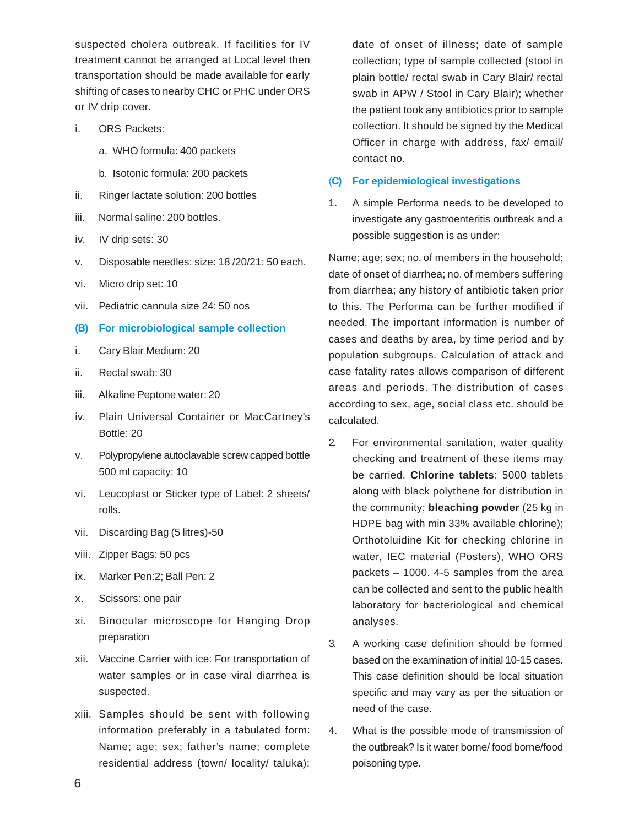suspected cholera outbreak. If facilities for IV treatment cannot be arranged at Local level then transportation should be made available for early shifting of cases to nearby CHC or PHC under ORS or IV drip cover.

- i. ORS Packets:
	- a. WHO formula: 400 packets
	- b. Isotonic formula: 200 packets
- ii. Ringer lactate solution: 200 bottles
- iii. Normal saline: 200 bottles.
- iv. IV drip sets: 30
- v. Disposable needles: size: 18 /20/21: 50 each.
- vi. Micro drip set: 10
- vii. Pediatric cannula size 24: 50 nos
- **(B) For microbiological sample collection**
- i. Cary Blair Medium: 20
- ii. Rectal swab: 30
- iii. Alkaline Peptone water: 20
- iv. Plain Universal Container or MacCartney's Bottle: 20
- v. Polypropylene autoclavable screw capped bottle 500 ml capacity: 10
- vi. Leucoplast or Sticker type of Label: 2 sheets/ rolls.
- vii. Discarding Bag (5 litres)-50
- viii. Zipper Bags: 50 pcs
- ix. Marker Pen:2; Ball Pen: 2
- x. Scissors: one pair
- xi. Binocular microscope for Hanging Drop preparation
- xii. Vaccine Carrier with ice: For transportation of water samples or in case viral diarrhea is suspected.
- xiii. Samples should be sent with following information preferably in a tabulated form: Name; age; sex; father's name; complete residential address (town/ locality/ taluka);

date of onset of illness; date of sample collection; type of sample collected (stool in plain bottle/ rectal swab in Cary Blair/ rectal swab in APW / Stool in Cary Blair); whether the patient took any antibiotics prior to sample collection. It should be signed by the Medical Officer in charge with address, fax/ email/ contact no.

#### (**C) For epidemiological investigations**

1. A simple Performa needs to be developed to investigate any gastroenteritis outbreak and a possible suggestion is as under:

Name; age; sex; no. of members in the household; date of onset of diarrhea; no. of members suffering from diarrhea; any history of antibiotic taken prior to this. The Performa can be further modified if needed. The important information is number of cases and deaths by area, by time period and by population subgroups. Calculation of attack and case fatality rates allows comparison of different areas and periods. The distribution of cases according to sex, age, social class etc. should be calculated.

- 2. For environmental sanitation, water quality checking and treatment of these items may be carried. **Chlorine tablets**: 5000 tablets along with black polythene for distribution in the community; **bleaching powder** (25 kg in HDPE bag with min 33% available chlorine); Orthotoluidine Kit for checking chlorine in water, IEC material (Posters), WHO ORS packets – 1000. 4-5 samples from the area can be collected and sent to the public health laboratory for bacteriological and chemical analyses.
- 3. A working case definition should be formed based on the examination of initial 10-15 cases. This case definition should be local situation specific and may vary as per the situation or need of the case.
- 4. What is the possible mode of transmission of the outbreak? Is it water borne/ food borne/food poisoning type.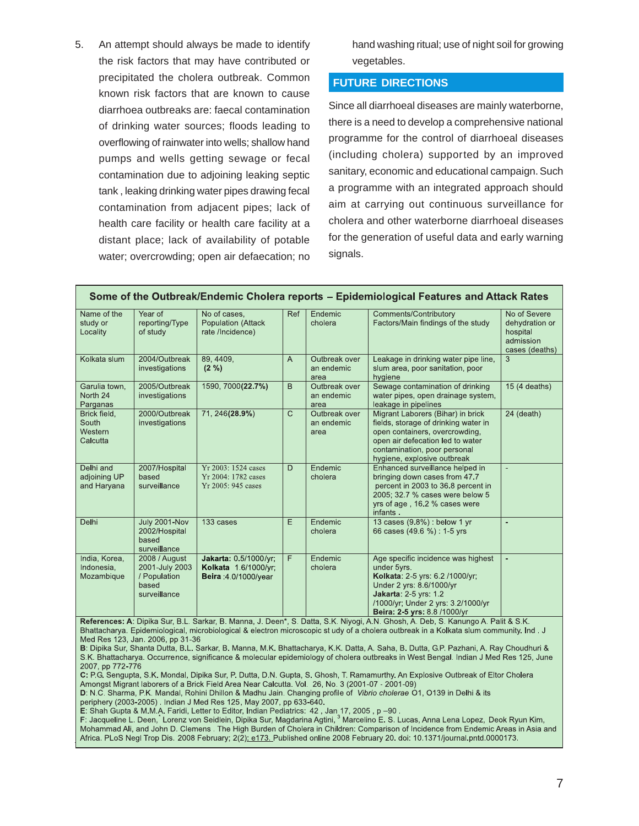5. An attempt should always be made to identify the risk factors that may have contributed or precipitated the cholera outbreak. Common known risk factors that are known to cause diarrhoea outbreaks are: faecal contamination of drinking water sources; floods leading to overflowing of rainwater into wells; shallow hand pumps and wells getting sewage or fecal contamination due to adjoining leaking septic tank , leaking drinking water pipes drawing fecal contamination from adjacent pipes; lack of health care facility or health care facility at a distant place; lack of availability of potable water; overcrowding; open air defaecation; no hand washing ritual; use of night soil for growing vegetables.

#### **FUTURE DIRECTIONS**

Since all diarrhoeal diseases are mainly waterborne, there is a need to develop a comprehensive national programme for the control of diarrhoeal diseases (including cholera) supported by an improved sanitary, economic and educational campaign. Such a programme with an integrated approach should aim at carrying out continuous surveillance for cholera and other waterborne diarrhoeal diseases for the generation of useful data and early warning signals.

| Name of the<br>study or<br>Locality                  | Year of<br>reporting/Type<br>of study                                    | No of cases,<br>Population (Attack<br>rate /Incidence)                                                                                      | Ref | Endemic<br>cholera                  | Comments/Contributory<br>Factors/Main findings of the study                                                                                                                                                                                                           | No of Severe<br>dehydration or<br>hospital<br>admission<br>cases (deaths) |
|------------------------------------------------------|--------------------------------------------------------------------------|---------------------------------------------------------------------------------------------------------------------------------------------|-----|-------------------------------------|-----------------------------------------------------------------------------------------------------------------------------------------------------------------------------------------------------------------------------------------------------------------------|---------------------------------------------------------------------------|
| Kolkata slum                                         | 2004/Outbreak<br>investigations                                          | 89, 4409,<br>$(2\% )$                                                                                                                       | A   | Outbreak over<br>an endemic<br>area | Leakage in drinking water pipe line,<br>slum area, poor sanitation, poor<br>hygiene                                                                                                                                                                                   | 3                                                                         |
| Garulia town.<br>North 24<br>Parganas                | 2005/Outbreak<br>investigations                                          | 1590, 7000(22.7%)                                                                                                                           | B.  | Outbreak over<br>an endemic<br>area | Sewage contamination of drinking<br>water pipes, open drainage system,<br>leakage in pipelines                                                                                                                                                                        | 15 (4 deaths)                                                             |
| Brick field.<br>South<br>Western<br>Calcutta         | 2000/Outbreak<br>investigations                                          | 71, 246(28.9%)                                                                                                                              | C   | Outbreak over<br>an endemic<br>area | Migrant Laborers (Bihar) in brick<br>fields, storage of drinking water in<br>open containers, overcrowding,<br>open air defecation led to water<br>contamination, poor personal<br>hygiene, explosive outbreak                                                        | 24 (death)                                                                |
| Delhi and<br>adjoining UP<br>and Haryana             | 2007/Hospital<br>based<br>surveillance                                   | Yr 2003: 1524 cases<br>Yr 2004: 1782 cases<br>Yr 2005: 945 cases                                                                            | D   | Endemic<br>cholera                  | Enhanced surveillance helped in<br>bringing down cases from 47.7<br>percent in 2003 to 36.8 percent in<br>2005; 32.7 % cases were below 5<br>yrs of age, 16.2 % cases were<br>infants.                                                                                | $\sim$                                                                    |
| Delhi                                                | July 2001-Nov<br>2002/Hospital<br>based<br>surveillance                  | 133 cases                                                                                                                                   | E   | Endemic<br>cholera                  | 13 cases (9.8%) : below 1 yr<br>66 cases (49.6 %) : 1-5 yrs                                                                                                                                                                                                           | ٠                                                                         |
| India, Korea,<br>Indonesia,<br>Mozambique<br>$B - 4$ | 2008 / August<br>2001-July 2003<br>/ Population<br>based<br>surveillance | Jakarta: 0 5/1000/yr;<br>Kolkata 1.6/1000/yr:<br><b>Beira</b> : 4 0/1000/year<br>A. Dinitre Curr D.J., Centres D. Meane, J. Deens, C. Dette | F.  | Endemic<br>cholera<br>$C1$ A.I.     | Age specific incidence was highest<br>under 5yrs.<br>Kolkata: 2-5 yrs: 6.2/1000/yr;<br>Under 2 yrs: 8.6/1000/yr<br><b>Jakarta: 2-5 yrs: 1.2</b><br>/1000/yr; Under 2 yrs: 3.2/1000/yr<br>Beira: 2-5 yrs: 8.8 /1000/yr<br>N. Obeste A. Deb. C. Kenwert A. Delit & C.K. | $\sim$                                                                    |

**References: A**: Dipika Sur, B.L. Sarkar, B. Manna, J. Deen\*, S. Datta, S.K. Niyogi, A.N. Ghosh, A. Deb, S. Kanungo A. Palit & S.K Bhattacharya. Epidemiological, microbiological & electron microscopic study of a cholera outbreak in a Kolkata slum community. Ind . J Med Res 123, Jan. 2006, pp 31-36

B: Dipika Sur, Shanta Dutta, B.L. Sarkar, B. Manna, M.K. Bhattacharya, K.K. Datta, A. Saha, B. Dutta, G.P. Pazhani, A. Ray Choudhuri & S.K. Bhattacharya. Occurrence, significance & molecular epidemiology of cholera outbreaks in West Bengal. Indian J Med Res 125, June 2007, pp 772-776

C: P.G. Sengupta, S.K. Mondal, Dipika Sur, P. Dutta, D.N. Gupta, S. Ghosh, T. Ramamurthy. An Explosive Outbreak of Eltor Cholera Amongst Migrant laborers of a Brick Field Area Near Calcutta. Vol. 26, No. 3 (2001-07 - 2001-09)

D: N.C. Sharma, P.K. Mandal, Rohini Dhillon & Madhu Jain. Changing profile of Vibrio cholerae 01, 0139 in Delhi & its periphery (2003-2005) Indian J Med Res 125, May 2007, pp 633-640.

E: Shah Gupta & M.M.A. Faridi, Letter to Editor, Indian Pediatrics: 42, Jan 17, 2005 , p –90 .<br>E: Shah Gupta & M.M.A. Faridi, Letter to Editor, Indian Pediatrics: 42, Jan 17, 2005 , p –90 .<br>F: Jacqueline L. Deen, Lorenz vo Mohammad Ali, and John D. Clemens . The High Burden of Cholera in Children: Comparison of Incidence from Endemic Areas in Asia and Africa. PLoS Negl Trop Dis. 2008 February; 2(2): e173. Published online 2008 February 20. doi: 10.1371/journal.pntd.0000173.